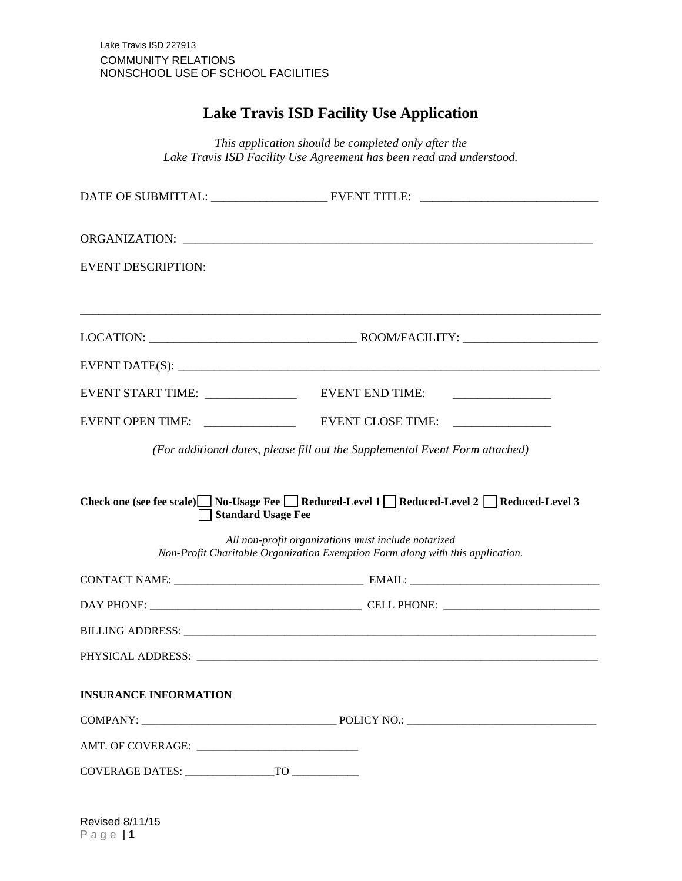## **Lake Travis ISD Facility Use Application**

| <b>EVENT DESCRIPTION:</b>                                          |                                                                                                                                                                        |
|--------------------------------------------------------------------|------------------------------------------------------------------------------------------------------------------------------------------------------------------------|
|                                                                    |                                                                                                                                                                        |
|                                                                    |                                                                                                                                                                        |
|                                                                    |                                                                                                                                                                        |
| <b>EVENT OPEN TIME:</b><br><u> 1990 - Johann Barbara, martin a</u> | EVENT CLOSE TIME:                                                                                                                                                      |
|                                                                    | (For additional dates, please fill out the Supplemental Event Form attached)<br>Check one (see fee scale) No-Usage Fee Reduced-Level 1 Reduced-Level 2 Reduced-Level 3 |
|                                                                    | <b>Standard Usage Fee</b><br>All non-profit organizations must include notarized                                                                                       |
|                                                                    | Non-Profit Charitable Organization Exemption Form along with this application.                                                                                         |
|                                                                    |                                                                                                                                                                        |
|                                                                    |                                                                                                                                                                        |
|                                                                    |                                                                                                                                                                        |
|                                                                    |                                                                                                                                                                        |
|                                                                    |                                                                                                                                                                        |
| <b>INSURANCE INFORMATION</b>                                       |                                                                                                                                                                        |

Revised 8/11/15 Page | **1**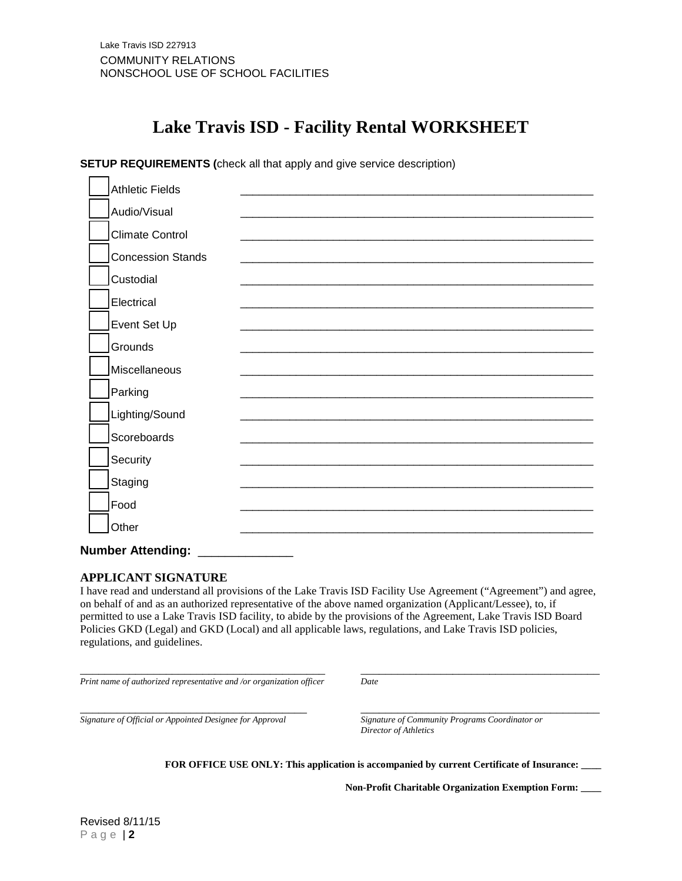## **Lake Travis ISD - Facility Rental WORKSHEET**

| <b>Athletic Fields</b>   |  |
|--------------------------|--|
| Audio/Visual             |  |
| <b>Climate Control</b>   |  |
| <b>Concession Stands</b> |  |
| Custodial                |  |
| Electrical               |  |
| Event Set Up             |  |
| Grounds                  |  |
| Miscellaneous            |  |
| Parking                  |  |
| Lighting/Sound           |  |
| Scoreboards              |  |
| Security                 |  |
| Staging                  |  |
| Food                     |  |
| Other                    |  |
| <b>Number Attending:</b> |  |

**SETUP REQUIREMENTS (**check all that apply and give service description)

## **APPLICANT SIGNATURE**

I have read and understand all provisions of the Lake Travis ISD Facility Use Agreement ("Agreement") and agree, on behalf of and as an authorized representative of the above named organization (Applicant/Lessee), to, if permitted to use a Lake Travis ISD facility, to abide by the provisions of the Agreement, Lake Travis ISD Board Policies GKD (Legal) and GKD (Local) and all applicable laws, regulations, and Lake Travis ISD policies, regulations, and guidelines.

\_\_\_\_\_\_\_\_\_\_\_\_\_\_\_\_\_\_\_\_\_\_\_\_\_\_\_\_\_\_\_\_\_\_\_\_\_\_\_\_ \_\_\_\_\_\_\_\_\_\_\_\_\_\_\_\_\_\_\_\_\_\_\_\_\_\_\_\_\_\_\_\_\_\_\_\_\_\_\_ *Print name of authorized representative and /or organization officer Date*

*Signature of Official or Appointed Designee for Approval Signature of Community Programs Coordinator or*

\_\_\_\_\_\_\_\_\_\_\_\_\_\_\_\_\_\_\_\_\_\_\_\_\_\_\_\_\_\_\_\_\_\_\_\_\_ \_\_\_\_\_\_\_\_\_\_\_\_\_\_\_\_\_\_\_\_\_\_\_\_\_\_\_\_\_\_\_\_\_\_\_\_\_\_\_ *Director of Athletics*

FOR OFFICE USE ONLY: This application is accompanied by current Certificate of Insurance:

**Non-Profit Charitable Organization Exemption Form: \_\_\_\_**